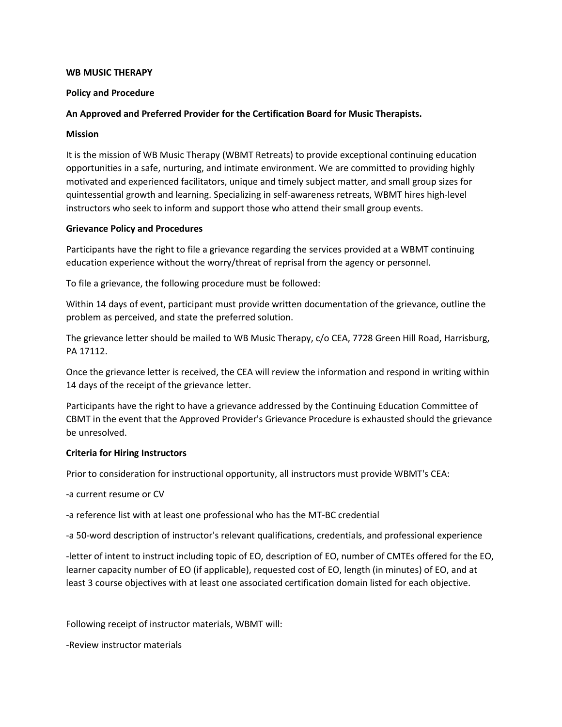#### **WB MUSIC THERAPY**

### **Policy and Procedure**

# **An Approved and Preferred Provider for the Certification Board for Music Therapists.**

#### **Mission**

It is the mission of WB Music Therapy (WBMT Retreats) to provide exceptional continuing education opportunities in a safe, nurturing, and intimate environment. We are committed to providing highly motivated and experienced facilitators, unique and timely subject matter, and small group sizes for quintessential growth and learning. Specializing in self-awareness retreats, WBMT hires high-level instructors who seek to inform and support those who attend their small group events.

#### **Grievance Policy and Procedures**

Participants have the right to file a grievance regarding the services provided at a WBMT continuing education experience without the worry/threat of reprisal from the agency or personnel.

To file a grievance, the following procedure must be followed:

Within 14 days of event, participant must provide written documentation of the grievance, outline the problem as perceived, and state the preferred solution.

The grievance letter should be mailed to WB Music Therapy, c/o CEA, 7728 Green Hill Road, Harrisburg, PA 17112.

Once the grievance letter is received, the CEA will review the information and respond in writing within 14 days of the receipt of the grievance letter.

Participants have the right to have a grievance addressed by the Continuing Education Committee of CBMT in the event that the Approved Provider's Grievance Procedure is exhausted should the grievance be unresolved.

### **Criteria for Hiring Instructors**

Prior to consideration for instructional opportunity, all instructors must provide WBMT's CEA:

-a current resume or CV

-a reference list with at least one professional who has the MT-BC credential

-a 50-word description of instructor's relevant qualifications, credentials, and professional experience

-letter of intent to instruct including topic of EO, description of EO, number of CMTEs offered for the EO, learner capacity number of EO (if applicable), requested cost of EO, length (in minutes) of EO, and at least 3 course objectives with at least one associated certification domain listed for each objective.

Following receipt of instructor materials, WBMT will:

-Review instructor materials